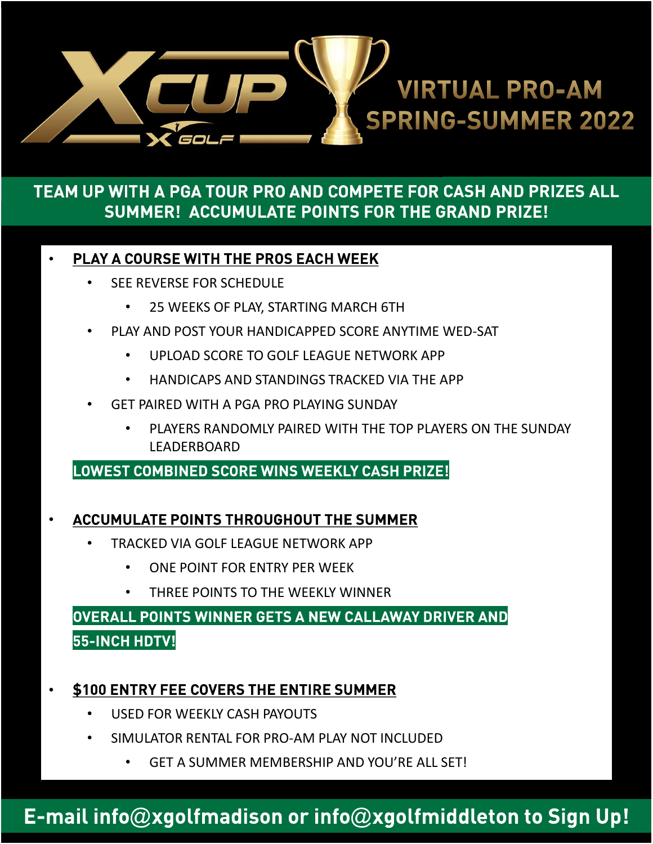

## TEAM UP WITH A PGA TOUR PRO AND COMPETE FOR CASH AND PRIZES ALL **SUMMER! ACCUMULATE POINTS FOR THE GRAND PRIZE!**

#### **PLAY A COURSE WITH THE PROS EACH WEEK**

- **SEE REVERSE FOR SCHEDULE** 
	- 25 WEEKS OF PLAY, STARTING MARCH 6TH
- PLAY AND POST YOUR HANDICAPPED SCORE ANYTIME WED-SAT
	- UPLOAD SCORE TO GOLF LEAGUE NETWORK APP
	- HANDICAPS AND STANDINGS TRACKED VIA THE APP
- GET PAIRED WITH A PGA PRO PLAYING SUNDAY
	- PLAYERS RANDOMLY PAIRED WITH THE TOP PLAYERS ON THE SUNDAY LEADERBOARD

LOWEST COMBINED SCORE WINS WEEKLY CASH PRIZE!

### **ACCUMULATE POINTS THROUGHOUT THE SUMMER**

- TRACKED VIA GOLF LEAGUE NETWORK APP
	- ONE POINT FOR ENTRY PER WEEK
	- THREE POINTS TO THE WEEKLY WINNER

## OVERALL POINTS WINNER GETS A NEW CALLAWAY DRIVER AND 55-INCH HDTV!

### \$100 ENTRY FEE COVERS THE ENTIRE SUMMER

- USED FOR WEEKLY CASH PAYOUTS
- SIMULATOR RENTAL FOR PRO-AM PLAY NOT INCLUDED
	- GET A SUMMER MEMBERSHIP AND YOU'RE ALL SET!

# E-mail info@xgolfmadison or info@xgolfmiddleton to Sign Up!